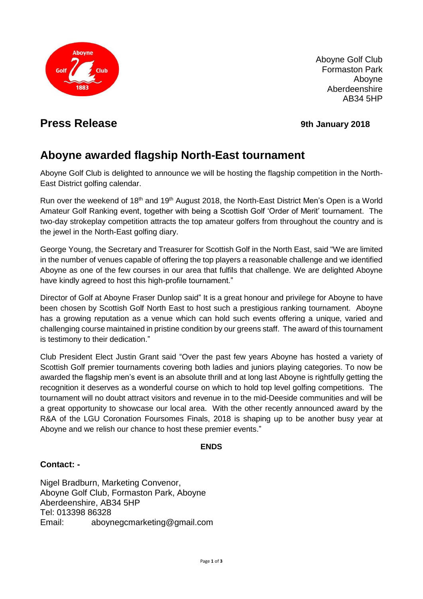

Aboyne Golf Club Formaston Park Aboyne Aberdeenshire AB34 5HP

## **Press Release Press Release** *9th* **January 2018**

# **Aboyne awarded flagship North-East tournament**

Aboyne Golf Club is delighted to announce we will be hosting the flagship competition in the North-East District golfing calendar.

Run over the weekend of 18<sup>th</sup> and 19<sup>th</sup> August 2018, the North-East District Men's Open is a World Amateur Golf Ranking event, together with being a Scottish Golf 'Order of Merit' tournament. The two-day strokeplay competition attracts the top amateur golfers from throughout the country and is the jewel in the North-East golfing diary.

George Young, the Secretary and Treasurer for Scottish Golf in the North East, said "We are limited in the number of venues capable of offering the top players a reasonable challenge and we identified Aboyne as one of the few courses in our area that fulfils that challenge. We are delighted Aboyne have kindly agreed to host this high-profile tournament."

Director of Golf at Aboyne Fraser Dunlop said" It is a great honour and privilege for Aboyne to have been chosen by Scottish Golf North East to host such a prestigious ranking tournament. Aboyne has a growing reputation as a venue which can hold such events offering a unique, varied and challenging course maintained in pristine condition by our greens staff. The award of this tournament is testimony to their dedication."

Club President Elect Justin Grant said "Over the past few years Aboyne has hosted a variety of Scottish Golf premier tournaments covering both ladies and juniors playing categories. To now be awarded the flagship men's event is an absolute thrill and at long last Aboyne is rightfully getting the recognition it deserves as a wonderful course on which to hold top level golfing competitions. The tournament will no doubt attract visitors and revenue in to the mid-Deeside communities and will be a great opportunity to showcase our local area. With the other recently announced award by the R&A of the LGU Coronation Foursomes Finals, 2018 is shaping up to be another busy year at Aboyne and we relish our chance to host these premier events."

#### **ENDS**

#### **Contact: -**

Nigel Bradburn, Marketing Convenor, Aboyne Golf Club, Formaston Park, Aboyne Aberdeenshire, AB34 5HP Tel: 013398 86328 Email: aboynegcmarketing@gmail.com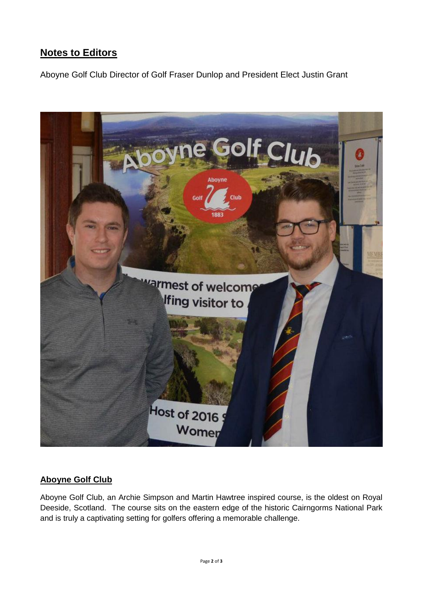## **Notes to Editors**

Aboyne Golf Club Director of Golf Fraser Dunlop and President Elect Justin Grant



### **Aboyne Golf Club**

Aboyne Golf Club, an Archie Simpson and Martin Hawtree inspired course, is the oldest on Royal Deeside, Scotland. The course sits on the eastern edge of the historic Cairngorms National Park and is truly a captivating setting for golfers offering a memorable challenge.